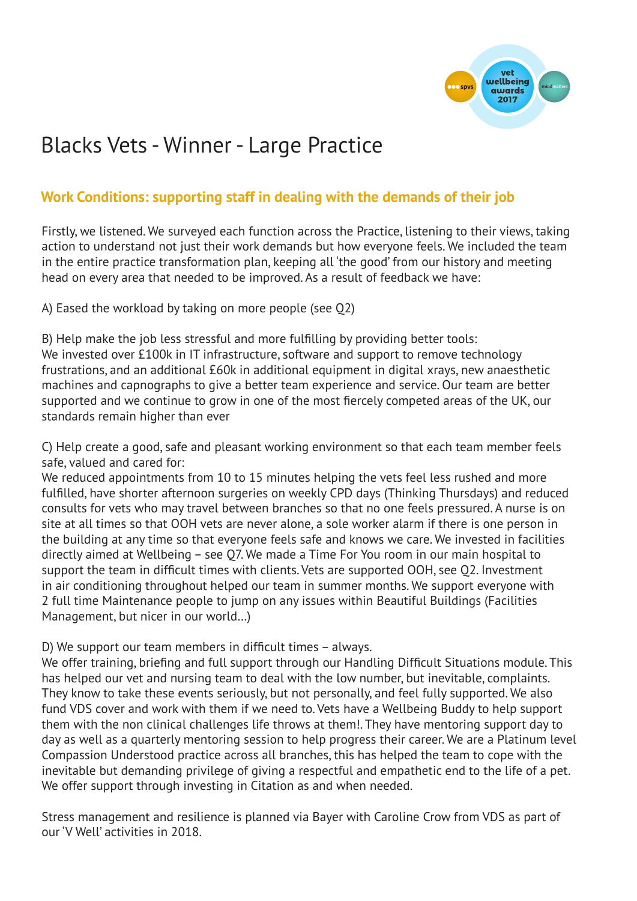

# Blacks Vets - Winner - Large Practice

## **Work Conditions: supporting staff in dealing with the demands of their job**

Firstly, we listened. We surveyed each function across the Practice, listening to their views, taking action to understand not just their work demands but how everyone feels. We included the team in the entire practice transformation plan, keeping all 'the good' from our history and meeting head on every area that needed to be improved. As a result of feedback we have:

A) Eased the workload by taking on more people (see Q2)

B) Help make the job less stressful and more fulfilling by providing better tools: We invested over £100k in IT infrastructure, software and support to remove technology frustrations, and an additional £60k in additional equipment in digital xrays, new anaesthetic machines and capnographs to give a better team experience and service. Our team are better supported and we continue to grow in one of the most fiercely competed areas of the UK, our standards remain higher than ever

C) Help create a good, safe and pleasant working environment so that each team member feels safe, valued and cared for:

We reduced appointments from 10 to 15 minutes helping the vets feel less rushed and more fulfilled, have shorter afternoon surgeries on weekly CPD days (Thinking Thursdays) and reduced consults for vets who may travel between branches so that no one feels pressured. A nurse is on site at all times so that OOH vets are never alone, a sole worker alarm if there is one person in the building at any time so that everyone feels safe and knows we care. We invested in facilities directly aimed at Wellbeing – see Q7. We made a Time For You room in our main hospital to support the team in difficult times with clients. Vets are supported OOH, see Q2. Investment in air conditioning throughout helped our team in summer months. We support everyone with 2 full time Maintenance people to jump on any issues within Beautiful Buildings (Facilities Management, but nicer in our world…)

D) We support our team members in difficult times – always.

We offer training, briefing and full support through our Handling Difficult Situations module. This has helped our vet and nursing team to deal with the low number, but inevitable, complaints. They know to take these events seriously, but not personally, and feel fully supported. We also fund VDS cover and work with them if we need to. Vets have a Wellbeing Buddy to help support them with the non clinical challenges life throws at them!. They have mentoring support day to day as well as a quarterly mentoring session to help progress their career. We are a Platinum level Compassion Understood practice across all branches, this has helped the team to cope with the inevitable but demanding privilege of giving a respectful and empathetic end to the life of a pet. We offer support through investing in Citation as and when needed.

Stress management and resilience is planned via Bayer with Caroline Crow from VDS as part of our 'V Well' activities in 2018.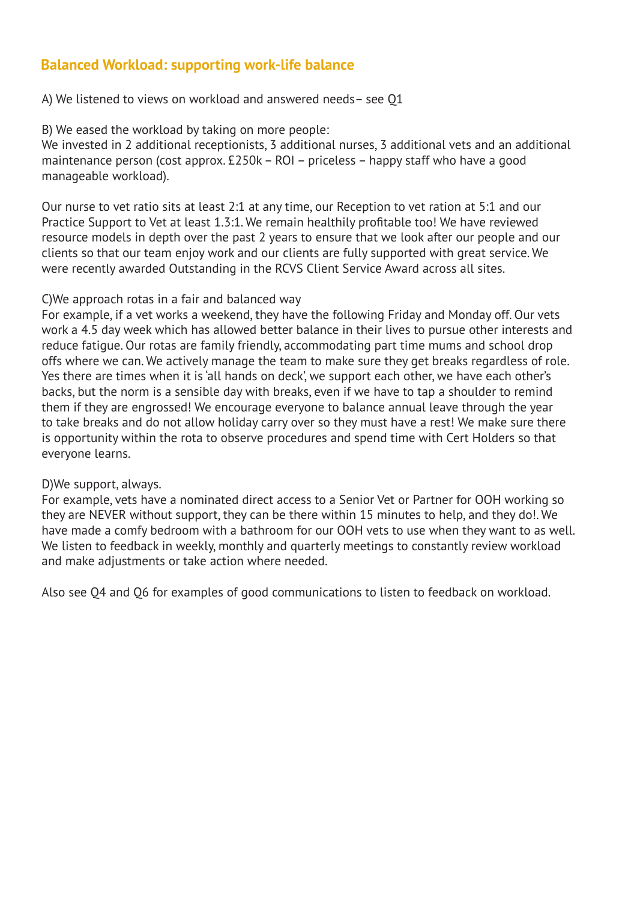## **Balanced Workload: supporting work-life balance**

A) We listened to views on workload and answered needs– see Q1

B) We eased the workload by taking on more people:

We invested in 2 additional receptionists, 3 additional nurses, 3 additional vets and an additional maintenance person (cost approx. £250k – ROI – priceless – happy staff who have a good manageable workload).

Our nurse to vet ratio sits at least 2:1 at any time, our Reception to vet ration at 5:1 and our Practice Support to Vet at least 1.3:1. We remain healthily profitable too! We have reviewed resource models in depth over the past 2 years to ensure that we look after our people and our clients so that our team enjoy work and our clients are fully supported with great service. We were recently awarded Outstanding in the RCVS Client Service Award across all sites.

#### C)We approach rotas in a fair and balanced way

For example, if a vet works a weekend, they have the following Friday and Monday off. Our vets work a 4.5 day week which has allowed better balance in their lives to pursue other interests and reduce fatigue. Our rotas are family friendly, accommodating part time mums and school drop offs where we can. We actively manage the team to make sure they get breaks regardless of role. Yes there are times when it is 'all hands on deck', we support each other, we have each other's backs, but the norm is a sensible day with breaks, even if we have to tap a shoulder to remind them if they are engrossed! We encourage everyone to balance annual leave through the year to take breaks and do not allow holiday carry over so they must have a rest! We make sure there is opportunity within the rota to observe procedures and spend time with Cert Holders so that everyone learns.

#### D)We support, always.

For example, vets have a nominated direct access to a Senior Vet or Partner for OOH working so they are NEVER without support, they can be there within 15 minutes to help, and they do!. We have made a comfy bedroom with a bathroom for our OOH vets to use when they want to as well. We listen to feedback in weekly, monthly and quarterly meetings to constantly review workload and make adjustments or take action where needed.

Also see Q4 and Q6 for examples of good communications to listen to feedback on workload.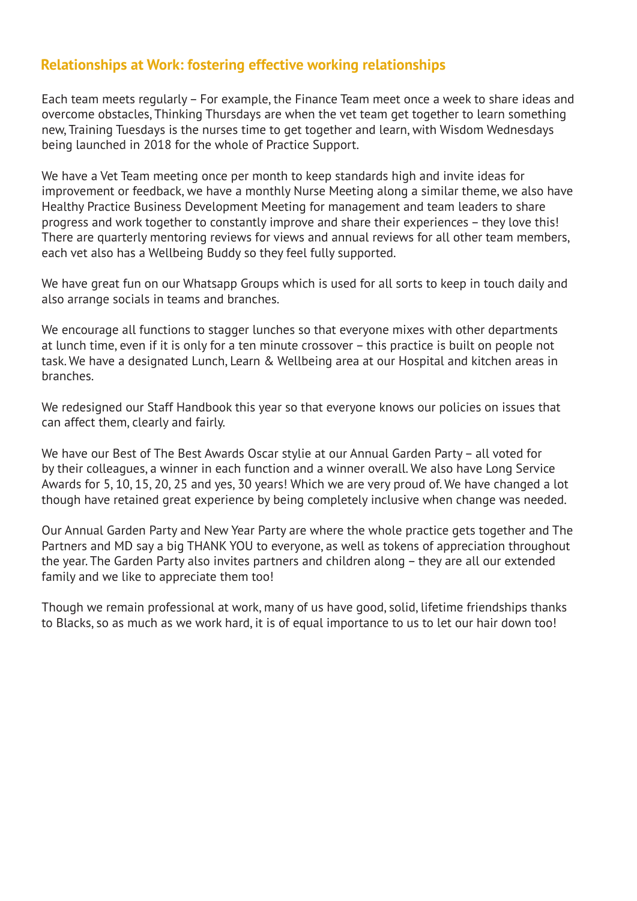#### **Relationships at Work: fostering effective working relationships**

Each team meets regularly – For example, the Finance Team meet once a week to share ideas and overcome obstacles, Thinking Thursdays are when the vet team get together to learn something new, Training Tuesdays is the nurses time to get together and learn, with Wisdom Wednesdays being launched in 2018 for the whole of Practice Support.

We have a Vet Team meeting once per month to keep standards high and invite ideas for improvement or feedback, we have a monthly Nurse Meeting along a similar theme, we also have Healthy Practice Business Development Meeting for management and team leaders to share progress and work together to constantly improve and share their experiences – they love this! There are quarterly mentoring reviews for views and annual reviews for all other team members, each vet also has a Wellbeing Buddy so they feel fully supported.

We have great fun on our Whatsapp Groups which is used for all sorts to keep in touch daily and also arrange socials in teams and branches.

We encourage all functions to stagger lunches so that everyone mixes with other departments at lunch time, even if it is only for a ten minute crossover – this practice is built on people not task. We have a designated Lunch, Learn & Wellbeing area at our Hospital and kitchen areas in branches.

We redesigned our Staff Handbook this year so that everyone knows our policies on issues that can affect them, clearly and fairly.

We have our Best of The Best Awards Oscar stylie at our Annual Garden Party – all voted for by their colleagues, a winner in each function and a winner overall. We also have Long Service Awards for 5, 10, 15, 20, 25 and yes, 30 years! Which we are very proud of. We have changed a lot though have retained great experience by being completely inclusive when change was needed.

Our Annual Garden Party and New Year Party are where the whole practice gets together and The Partners and MD say a big THANK YOU to everyone, as well as tokens of appreciation throughout the year. The Garden Party also invites partners and children along – they are all our extended family and we like to appreciate them too!

Though we remain professional at work, many of us have good, solid, lifetime friendships thanks to Blacks, so as much as we work hard, it is of equal importance to us to let our hair down too!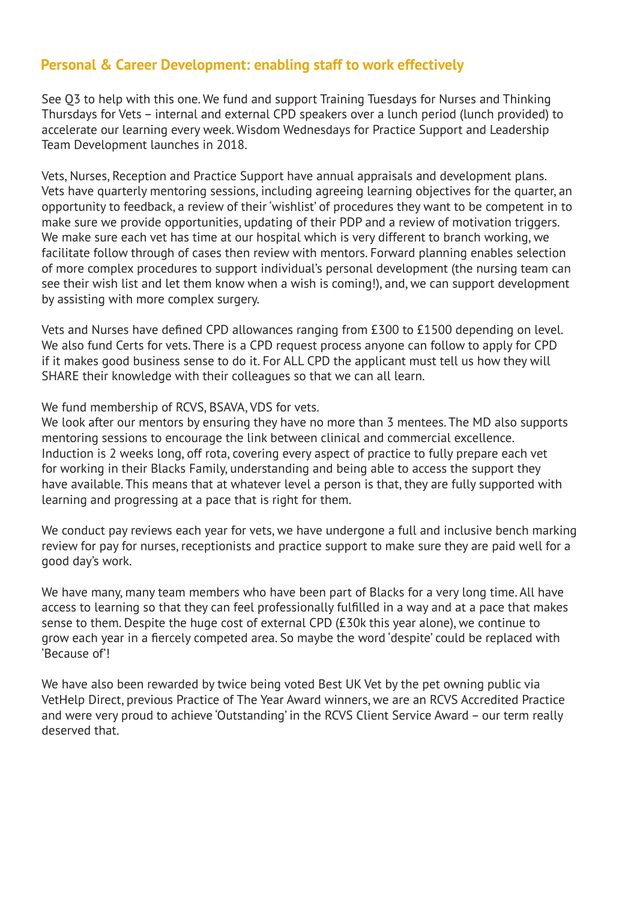## **Personal & Career Development: enabling staff to work effectively**

See Q3 to help with this one. We fund and support Training Tuesdays for Nurses and Thinking Thursdays for Vets – internal and external CPD speakers over a lunch period (lunch provided) to accelerate our learning every week. Wisdom Wednesdays for Practice Support and Leadership Team Development launches in 2018.

Vets, Nurses, Reception and Practice Support have annual appraisals and development plans. Vets have quarterly mentoring sessions, including agreeing learning objectives for the quarter, an opportunity to feedback, a review of their 'wishlist' of procedures they want to be competent in to make sure we provide opportunities, updating of their PDP and a review of motivation triggers. We make sure each vet has time at our hospital which is very different to branch working, we facilitate follow through of cases then review with mentors. Forward planning enables selection of more complex procedures to support individual's personal development (the nursing team can see their wish list and let them know when a wish is coming!), and, we can support development by assisting with more complex surgery.

Vets and Nurses have defined CPD allowances ranging from £300 to £1500 depending on level. We also fund Certs for vets. There is a CPD request process anyone can follow to apply for CPD if it makes good business sense to do it. For ALL CPD the applicant must tell us how they will SHARE their knowledge with their colleagues so that we can all learn.

#### We fund membership of RCVS, BSAVA, VDS for vets.

We look after our mentors by ensuring they have no more than 3 mentees. The MD also supports mentoring sessions to encourage the link between clinical and commercial excellence. Induction is 2 weeks long, off rota, covering every aspect of practice to fully prepare each vet for working in their Blacks Family, understanding and being able to access the support they have available. This means that at whatever level a person is that, they are fully supported with learning and progressing at a pace that is right for them.

We conduct pay reviews each year for vets, we have undergone a full and inclusive bench marking review for pay for nurses, receptionists and practice support to make sure they are paid well for a good day's work.

We have many, many team members who have been part of Blacks for a very long time. All have access to learning so that they can feel professionally fulfilled in a way and at a pace that makes sense to them. Despite the huge cost of external CPD (£30k this year alone), we continue to grow each year in a fiercely competed area. So maybe the word 'despite' could be replaced with 'Because of'!

We have also been rewarded by twice being voted Best UK Vet by the pet owning public via VetHelp Direct, previous Practice of The Year Award winners, we are an RCVS Accredited Practice and were very proud to achieve 'Outstanding' in the RCVS Client Service Award – our term really deserved that.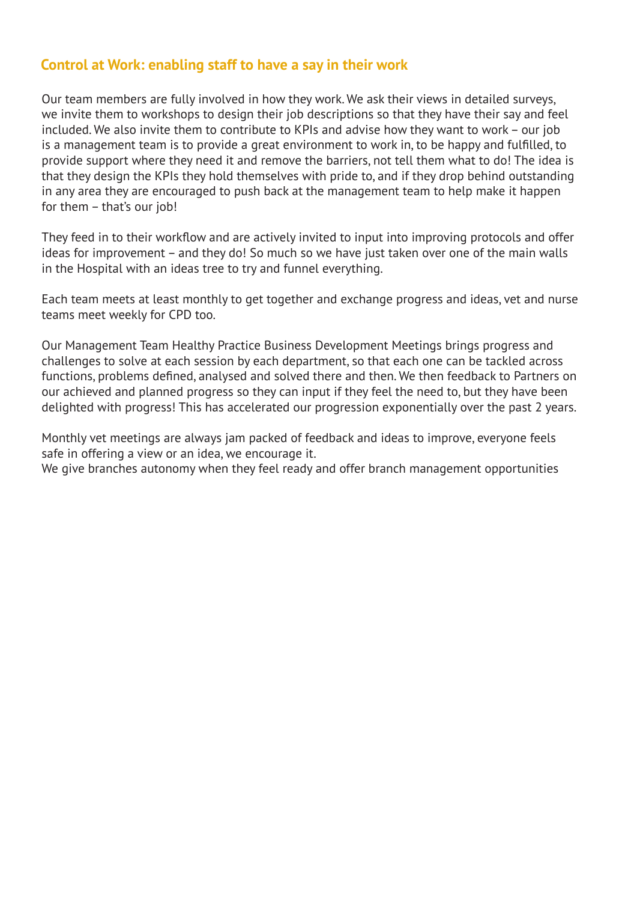#### **Control at Work: enabling staff to have a say in their work**

Our team members are fully involved in how they work. We ask their views in detailed surveys, we invite them to workshops to design their job descriptions so that they have their say and feel included. We also invite them to contribute to KPIs and advise how they want to work – our job is a management team is to provide a great environment to work in, to be happy and fulfilled, to provide support where they need it and remove the barriers, not tell them what to do! The idea is that they design the KPIs they hold themselves with pride to, and if they drop behind outstanding in any area they are encouraged to push back at the management team to help make it happen for them – that's our job!

They feed in to their workflow and are actively invited to input into improving protocols and offer ideas for improvement – and they do! So much so we have just taken over one of the main walls in the Hospital with an ideas tree to try and funnel everything.

Each team meets at least monthly to get together and exchange progress and ideas, vet and nurse teams meet weekly for CPD too.

Our Management Team Healthy Practice Business Development Meetings brings progress and challenges to solve at each session by each department, so that each one can be tackled across functions, problems defined, analysed and solved there and then. We then feedback to Partners on our achieved and planned progress so they can input if they feel the need to, but they have been delighted with progress! This has accelerated our progression exponentially over the past 2 years.

Monthly vet meetings are always jam packed of feedback and ideas to improve, everyone feels safe in offering a view or an idea, we encourage it.

We give branches autonomy when they feel ready and offer branch management opportunities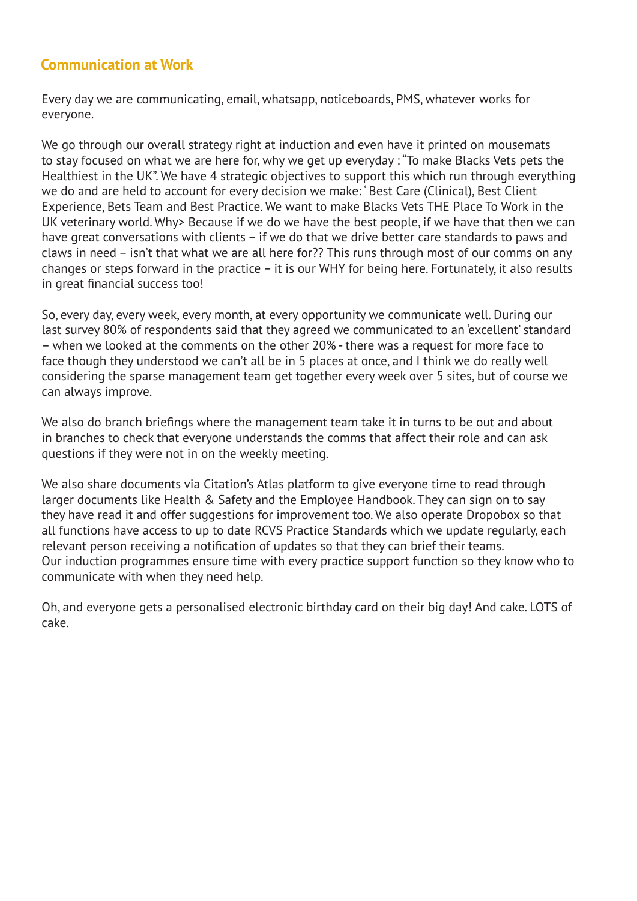#### **Communication at Work**

Every day we are communicating, email, whatsapp, noticeboards, PMS, whatever works for everyone.

We go through our overall strategy right at induction and even have it printed on mousemats to stay focused on what we are here for, why we get up everyday : "To make Blacks Vets pets the Healthiest in the UK". We have 4 strategic objectives to support this which run through everything we do and are held to account for every decision we make: ' Best Care (Clinical), Best Client Experience, Bets Team and Best Practice. We want to make Blacks Vets THE Place To Work in the UK veterinary world. Why> Because if we do we have the best people, if we have that then we can have great conversations with clients – if we do that we drive better care standards to paws and claws in need – isn't that what we are all here for?? This runs through most of our comms on any changes or steps forward in the practice – it is our WHY for being here. Fortunately, it also results in great financial success too!

So, every day, every week, every month, at every opportunity we communicate well. During our last survey 80% of respondents said that they agreed we communicated to an 'excellent' standard – when we looked at the comments on the other 20% - there was a request for more face to face though they understood we can't all be in 5 places at once, and I think we do really well considering the sparse management team get together every week over 5 sites, but of course we can always improve.

We also do branch briefings where the management team take it in turns to be out and about in branches to check that everyone understands the comms that affect their role and can ask questions if they were not in on the weekly meeting.

We also share documents via Citation's Atlas platform to give everyone time to read through larger documents like Health & Safety and the Employee Handbook. They can sign on to say they have read it and offer suggestions for improvement too. We also operate Dropobox so that all functions have access to up to date RCVS Practice Standards which we update regularly, each relevant person receiving a notification of updates so that they can brief their teams. Our induction programmes ensure time with every practice support function so they know who to communicate with when they need help.

Oh, and everyone gets a personalised electronic birthday card on their big day! And cake. LOTS of cake.